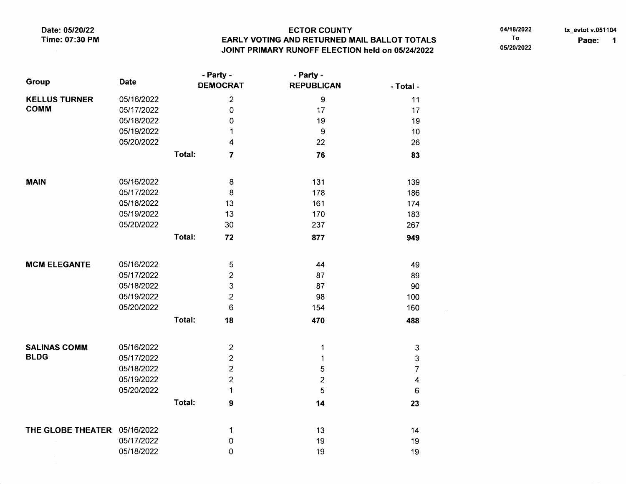Date: 05/20/22 Time: 07:30 PM

## **ECTOR COUNTY** EARLY VOTING AND RETURNED MAIL BALLOT TOTALS JOINT PRIMARY RUNOFF ELECTION held on 05/24/2022

04/18/2022

 $\sim 10^{-1}$ 

To

05/20/2022

tx\_evtot v.051104 Page: 1

| Group                               | <b>Date</b> | - Party -<br><b>DEMOCRAT</b> |                     | - Party -<br><b>REPUBLICAN</b> | - Total -               |
|-------------------------------------|-------------|------------------------------|---------------------|--------------------------------|-------------------------|
| <b>KELLUS TURNER</b><br><b>COMM</b> | 05/16/2022  |                              | $\overline{2}$      | 9                              | 11                      |
|                                     | 05/17/2022  |                              | $\mathsf{O}\xspace$ | 17                             | 17                      |
|                                     | 05/18/2022  |                              | $\mathbf 0$         | 19                             | 19                      |
|                                     | 05/19/2022  |                              | 1                   | 9                              | 10                      |
|                                     | 05/20/2022  |                              | 4                   | 22                             | 26                      |
|                                     |             | Total:                       | $\overline{7}$      | 76                             | 83                      |
| <b>MAIN</b>                         | 05/16/2022  |                              | 8                   | 131                            | 139                     |
|                                     | 05/17/2022  |                              | 8                   | 178                            | 186                     |
|                                     | 05/18/2022  |                              | 13                  | 161                            | 174                     |
|                                     | 05/19/2022  |                              | 13                  | 170                            | 183                     |
|                                     | 05/20/2022  |                              | 30                  | 237                            | 267                     |
|                                     |             | Total:                       | 72                  | 877                            | 949                     |
| <b>MCM ELEGANTE</b>                 | 05/16/2022  |                              | 5                   | 44                             | 49                      |
|                                     | 05/17/2022  |                              | $\overline{c}$      | 87                             | 89                      |
|                                     | 05/18/2022  |                              | 3                   | 87                             | 90                      |
|                                     | 05/19/2022  |                              | $\overline{c}$      | 98                             | 100                     |
|                                     | 05/20/2022  |                              | 6                   | 154                            | 160                     |
|                                     |             | Total:                       | 18                  | 470                            | 488                     |
| <b>SALINAS COMM</b>                 | 05/16/2022  |                              | $\overline{2}$      | 1                              | $\mathbf{3}$            |
| <b>BLDG</b>                         | 05/17/2022  |                              | $\overline{c}$      | 1                              | 3                       |
|                                     | 05/18/2022  |                              | $\overline{2}$      | 5                              | $\overline{7}$          |
|                                     | 05/19/2022  |                              | $\overline{2}$      | $\overline{c}$                 | $\overline{\mathbf{4}}$ |
|                                     | 05/20/2022  |                              | 1                   | 5                              | 6                       |
|                                     |             | Total:                       |                     |                                |                         |
|                                     |             |                              | 9                   | 14                             | 23                      |
| THE GLOBE THEATER 05/16/2022        |             |                              | 1                   | 13                             | 14                      |
|                                     | 05/17/2022  |                              | 0                   | 19                             | 19                      |
|                                     | 05/18/2022  |                              | 0                   | 19                             | 19                      |